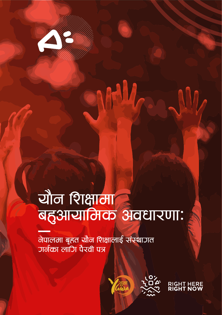# ्रोत शिक्षामा<br>बहुआयामिक अवधारणाः

**RAW** 

<mark>वेपालमा बृहत यौन शिक्षालाई संस्था</mark>णत <u>जा</u>र्नका लांगि पैरवी पत्र

a France China

of the late

A



RIGHT HE<mark>RE</mark><br>**RIGHT NOW**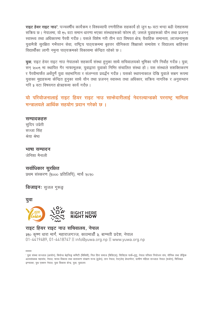राइट हेयर राइट नाउ<sup>9</sup>, पञ्चवर्षीय कार्यक्रम र विश्वव्यापी रणनीतिक सहकार्य हो जून १० वटा भन्दा बढी देशहरूमा सक्रिय छ । नेपालमा, यो १५ वटा समान धारणा भएका संस्थाहरूको फोरम हो, जसले यवाहरूको यौन तथा प्रजनन स्वास्थ्य तथा अधिकारमा पैरवी गर्दछ । यसले विशेष गरी तीन वटा विषयत क्षेत्र; वैवाहिक समानता, लाञ्छनामुक्त युवामैत्री सुरक्षित गर्भपतन सेवा, राष्ट्रिय पाठ्यक्रममा बृहत्तर यौनिकता शिक्षाको समावेश र विद्यालय बाहिरका विद्यार्थीका लागी नमना पाठयऋमको विकासमा केन्द्रित रहेको छ ।

युवा, राइट हेयर राइट नाउ नेपालको सहकार्य संस्था हुनुका साथै सचिवालयको भूमिका पनि निर्वाह गर्दछ । युवा, सन् २००९ मा स्थापित गैर नाफामूलक, युवाद्वारा युवाको निम्ति संचालित संस्था हो । यस संस्थाले सशक्तिकरण र पैरवीमार्फत अर्थपूर्ण युवा सहभागिता र संलग्नता प्रवर्द्धन गर्दछ । यसको स्थापनाकाल देखि युवाले सम्रग रूपमा युवाका मुद्दाहरूमा केन्द्रित हुनुका साथै यौन तथा प्रजनन् स्वास्थ्य तथा अधिकार, सक्रिय नागरिक र अनुसन्धान गरि ३ वटा विषयगत क्षेत्रहरूमा कार्य गर्दछ ।

## यो परियोजनालाई राइट हियर राइट नाउ साफेदारीलाई नेदरल्यान्डको परराष्ट्र मामिला मन्त्रालयले आर्थिक सहयोग पटान गरेको छ ।

## सम्पादकहरु

सुदिप उप्रेती सज्जा सिंह श्रेया श्रेष्ठ

# भाषा सम्पादन

जेनिशा मैनाली

## सर्वाधिकार सुरक्षित

प्रथम संस्करण (१००० प्रतिलिपि) मार्च २०२०

## **डिजाइनः** सजल गरूड

युवा



## राइट हियर राइट नाउ सचिवालय, नेपाल

३१० कृष्ण धारा मार्ग, महाराजगञ्ज, काठमाडौँ ३, बाग्मती प्रदेश, नेपाल 01-4419489, 01-4418747 || info@yuwa.org.np || www.yuwa.org.np

<sup>&#</sup>x27; युवा संस्था सञ्जाल (आयोन), बियोन्ड बेइजिङ्ग कमिटी (बिबिसी), निल हिरा समाज (बिडिएस), सिडिएस पार्क–मुगु, नेपाल परिवार नियोजन संघ, यौनिक तथा लैङ्गिक .<br>अल्पसंख्यक महासंघ, नेपाल, मानव विकास तथा वातावरण संरक्षण मञ्च (हडेप), तान नेपाल, रेस्टलेस डेम्लप्मेन्ट, ग्रामीण महिला सञ्जाल नेपाल (रूवोन), भिजिबल इम्प्याक्ट, युथ एक्सन नेपाल, युवा विकास केन्द्र, युवा, युवालय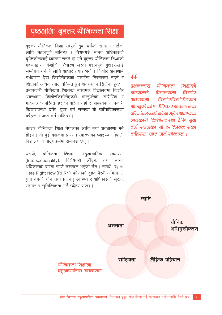# पृष्ठभूमिः बृहतर यौनिकता शिक्षा

बृहत्तर यौनिकता शिक्षा सम्पूर्ण युवा वर्गको समग्र भलाईको लागि महत्वपर्ण मानिन्छ । विशेषगरी मानव अधिकारको ्<br>दृष्टिकोणलाई ध्यानमा राख्ने हो भने बृहत्तर यौनिकता शिक्षाको माध्यमद्वारा किशोरी गर्भधारण जस्तो महत्वपूर्ण मुद्दाहरूलाई सम्बोधन गर्नको लागि आधार तयार भयो । किशोर अवस्थामै गर्भधारण हुँदा किशोरीहरूको पढाईमा निरन्तरता नहूने र शिक्षाको अधिकारबाट बञ्चित हुने अवस्थाको सिर्जना हुन्छ । प्रभावकारी यौनिकता शिक्षाको माध्यमले विद्यालयमा किशोर अवस्थामा किशोरकिशोरीहरूले भोग्नपरेको शारीरिक र भावनात्मक परिवर्तनहरूको बारेमा सही र आवश्यक जानकारी किशोरावस्था देखि 'युवा' वर्ग सम्मका यी व्यक्तिविकासका वर्षहरूमा प्राप्त गर्न सकिन्छ ।

बृहत्तर यौनिकता शिक्षा नेपालको लागि नयाँ अवधारणा भने ्<br>होइन । यी दुई दशकमा प्रजनन स्वास्थ्यका पक्षहरूमा नेपाली विद्यालयका पाठ्यक्रममा समावेश छन्।

बहुआयामिक ਹਵਾਧੀ यौनिकता शिक्षामा अबधारणा (Intersectionality), विशेषगरी लैंङ्गिक तथा मानव अधिकारको बारेमा खासै छलफल भएको छैन। तसर्थ, Right Here Right Now (RHRN) फोरमको बहुत पैरवी अभियानले युवा वर्गको यौन तथा प्रजनन स्वास्थ्य र अधिकारको सुरक्षा, सम्मान र सुनिश्चितता गर्ने उद्देश्य राख्छ ।

# $\overline{\mathbf{M}}$

पभावकारी यौनिकता शिक्षाको माध्यमले विद्यालयमा किशोर किशोरकिशोरीहरूले अवस्थात्मा भोजनपरेको शारीरिक र भावनात्मक परिवर्तनहरूकोबारेमासहीरआवश्यक जानकारी किशोरावस्था देरिब यवा वर्ज सम्मका यी व्यक्तिविकासका वर्षहरूमा पाप्त गर्न सकिन्छ ।

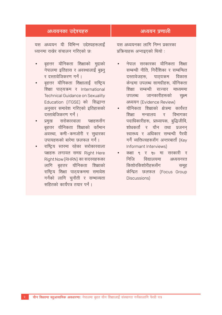| अध्ययनका उद्देश्यहरु                | अध्ययन प्रणाली                          |
|-------------------------------------|-----------------------------------------|
| यस अध्ययन यी विभिन्न उद्देश्यहरूलाई | यस अध्ययनका लागि निम्न प्रकारका         |
| ध्यानमा राखेर संचालन गरिएको छः      | प्रक्रियाहरू अप्नाइएको थियो :           |
| बृहत्तर यौनिकता शिक्षाको मुद्दाको   | नेपाल सरकारका यौनिकता शिक्षा            |
| नेपालमा इतिहास र अवस्थालाई बुझ्नु   | सम्बन्धी नीति, निर्देशिका र सम्बन्धित   |
| र दस्तावेजिकरण गर्न ।               | दस्तावेजहरू, पाठ्यऋम विकास              |
| बृहत्तर यौनिकता शिक्षालाई राष्ट्रिय | केन्द्रमा उपलब्ध सामग्रीहरू, यौनिकता    |
| शिक्षा पाठ्यक्रम र International    | शिक्षा सम्बन्धी सञ्चार माध्यममा         |
| Technical Guidance on Sexuality     | उपलब्ध जानकारीहरूको                     |
| Education (ITGSE) को सिद्धान्त      | सक्ष्म                                  |
| अनुसार समावेश गरिएको इतिहासको       | अध्ययन (Evidence Review)                |
| दस्ताबेजिकरण गर्न ।                 | यौनिकता शिक्षाको क्षेत्रमा कार्यरत      |
| प्रमुख सरोकारवाला पक्षहरूसँग        | शिक्षा मन्त्रालय र विभागका              |
| बृहत्तर यौनिकता शिक्षाको वर्तमान    | पदाधिकारीहरू, प्राध्यापक, बुद्धिजीवि,   |
| अवस्था, कमी-कमजोरी र सुधारका        | शोधकर्ता र यौन तथा प्रजनन्              |
| उपायहरूको बारेमा छलफल गर्न ।        | स्वास्थ्य र अधिकार सम्बन्धी पैरवी       |
| राष्ट्रिय स्तरमा रहेका सरोकारवाला   | गर्ने व्यक्तित्वहरूसँग अन्तरबार्ता (Key |
| पक्षहरू लगायत समग्र Right Here      | Informant Interviews)                   |
| Right Now (RHRN) का सदस्यहरूका      | कक्षा ९ र १० मा सरकारी र                |
| लागि बृहत्तर यौनिकता शिक्षाको       | निजि विद्यालयमा अध्ययनरत                |
| राष्ट्रिय शिक्षा पाठ्यक्रममा समावेश | किशोरकिशोरीहरूसँग समूह                  |
| गर्नको लागि चुनौती र सम्भाव्यता     | केन्द्रित छलफल (Focus Group             |
| सहितको कार्यपत्र तयार पर्न ।        | Discussions)                            |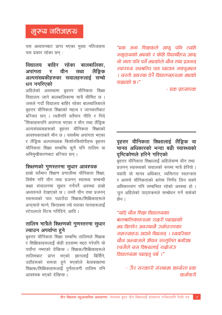# मुख्य नतिजाहरू

यस अध्ययनबाट प्राप्त भएका मुख्य नतिजाहरू यस प्रकार रहेका छन :

#### विद्यालय बाहिर रहेका बालबालिका, अपांगता र यौन लैंङ्गिक तथा अल्पसंख्यकीहरुका सवालहरुलाई सम्बो धन नगरिएको

अहिलेको अवस्थामा बृहत्तर यौनिकता शिक्षा विद्यालय जाने बालबालिकामा मात्रै सीमित छ । जसले गर्दा विद्यालय बाहिर रहेका बालबालिकाले बृहत्तर यौनिकता शिक्षाको महत्व र जानकारीबाट बञ्चित छन । त्यसैगरि वर्तमान नीति र निदे 'शिकाहरूपनि अपांगता भएका र यौन तथा लैंड़िक अल्पसंख्यकहरूको बहत्तर यौनिकता शिक्षाको आवश्यकताबारे मौन छ । यसर्थमा अपांगता भएका र लैंङ्गिक अल्पसंख्यक किशोरकिशोरीहरू बृहत्तर यौनिकता शिक्षा सम्बन्धि कूनै पनि तालिम वा अभिमुखीकरणबाट बञ्चित छन्।

## शिक्षणको गुणस्तरमा सुधार आवश्यक

हाम्रो वर्तमान शिक्षण प्रणालीमा यौनिकता शिक्षा विशेष गरि यौन तथा प्रजनन स्वास्थ्य सम्बन्धी कक्षा संचालनमा सुधार गर्नपर्ने अवस्था हाम्रो अध्ययनले देखाएको छ । जस्तै यौन तथा प्रजनन स्वास्थ्यको पाठ पढाउँदा शिक्षक/शिक्षिकाहरूले अप्ठयारो मान्ने, किताबमा त्यो पाठका पानाहरूलाई स्टेपलरले स्टिच गरिदिने आदि ।

## तालिम मात्रैले शिक्षणको गुणस्तरमा सुधार ल्याउन अपर्याप्त हने

बृहत्तर यौनिकता शिक्षा सम्बन्धि तालिमले शिक्षक र शिक्षिकाहरूलाई केही हदसम्म मद्दत गरेपनि यो पर्याप्त नभएको देखिन्छ । शिक्षक/शिक्षिकाहरूले तालिमबाट प्राप्त भएको ज्ञानलाई बिर्सिने. उहाँहरूको सरूवा हुने भएकोले बेलाबखतमा शिक्षक/शिक्षिकाहरूलाई पूर्नताजगी तालिम पनि आवश्यक भएको देखिन्छ ।

"एक जना शिक्षकले आफ पनि त्यहि समदायको भएको र केहि विद्यार्थीहरू आफ नो नाता पनि पर्ने भएकोले यौन तथा प्रजनन स्वास्थ्य सम्बन्धि पाठ पढाउन सक्नुभएन । यस्तो अवस्था धेरै विद्यालयहरूमा भएको पाडएको छ।"

- एक पाध्यापक

## वहत्तर यौनिकता शिक्षालाई लैंङ्गिक वा मानव अधिकारको भन्दा बढी स्वास्थ्यको दृष्टिकोणले हरिने गरिएको

बृहत्तर यौनिकता शिक्षालाई अहिलेसम्म यौन तथा प्रजनन स्वास्थ्यको सवालको रूपमा मात्रै हेरियो । यद्यपी यो मानव अधिकार व्यक्तिगत स्वतन्त्रता र आफ्नो यौनिकताको बारेमा निर्णय लिन सक्ने अधिकारसंग पनि सम्बन्धित रहेको अवस्था हो । जुन अहिलेको पाठयक्रमले सम्बोधन गर्न सकेको छेन ।

"यदि यौन शिक्षा विद्यालयका बालबालिकाहरूमा रामरी पढाडएको भार किशोर अवस्थामै जर्भधारणका समस्याहरू आउने थिएनन् । त्यवस्थित यौन अभ्यासले जीवन सन्तलित बनाँउछ त्यसैले यस विषयलाई राम्रोसंग विद्यालयमा पढाइन पर्छ।"

> - गैर सरकारी संस्थामा कार्यरत एक कर्मचारी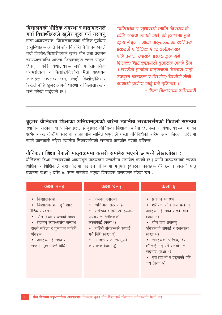"परिवर्तन र सुधारको लांगि निश्चय नै केहि समय लाउने उार्छ, यो हतारमा हने करा होइन । हाम्रो पाठ्यऋममा कतिपय एकदमै पाविधिक शब्दावलीहरूको पनि प्रयोग भएको पाइन्छ जन सबै शिक्षक/शिक्षिकाहरूले बभ्रुछन् भन्ने छैन । त्यसैले हामीले पाठयऋम विकास जर्दा उपयक्त छलफल र किशोर/किशोरी मैत्री भाषाको प्रयोग गर्नु पर्ने देखिन्छ ।" - शिक्षा बिभाजका अधिकारी

विद्यालयको भौतिक अवस्था र वातावारणले गर्दा विद्यार्थीहरुले खुलेर कुरा गर्न नसक्नु हाम्रो अध्ययनबाट) विद्यालयहरूको भौतिक पूर्वाधार र सुबिधाहरू त्यति किशोर किशोरी मैत्री नभएकाले गर्दा किशोर/किशोरीहरूले खुलेर यौन तथा प्रजनन स्वास्थ्यसम्बन्धि आफ्ना जिज्ञासाहरू राख्न पाएका छैनन । केहि विद्यालयहरू जहाँ मनोसामाजिक परामर्शदाता र किशोर/किशोरी मैत्री अध्ययन कोठाहरू उपलब्ध छन, त्यहाँ किशोर/किशोर ीहरूले केहि खुलेर आफ्नो धारणा र जिज्ञासाहरू र ख्ने गरेको पाईएको छ ।

बृहत्तर यौनिकता शिक्षाका अभियानहरुको बारेमा स्थानीय सरकारसँगको फितलो समन्वय ्<br>स्थानीय सरकार वा पालिकाहरूलाई बृहत्तर यौनिकता शिक्षाका बारेमा छलफल र विद्यालयहरूमा भएका अभियानहरू केन्द्रीय स्तर वा राजधानीमै सीमित भएकाले यस्ता गतिविधिको बारेमा अन्य जिल्ला, प्रदेशमा खासै जानकारी नहँदा स्थानीय निकायसँगको समन्वय कमजोर भएको देखिन्छ ।

## यौनिकता शिक्षा नेपाली पाठ्यक्रममा कसरी समाबेस भएको छ भन्ने लेखाजोखा :

यौनिकता शिक्षा मन्त्रालयको आधारभुत पाठयक्रम प्रणालीमा समावेश भएको छ । यद्दपि पाठयक्रमको स्वरूप शिक्षिक र शिक्षिकाले कक्षाकोठामा पढाउने प्रक्रियामा गर्नुपर्ने सुधारका कार्यहरू धेरै छन । हालको पाठ यक्रममा कक्षा १ देखि १० सम्म समावेश भएका विषयहरू यसप्रकार रहेका छन :

| कक्षा १-३                                                                                                                                                                                                            | कक्षा ४-५                                                                                                                                                                                                        | कक्षा ६                                                                                                                                                                                                                                                                            |
|----------------------------------------------------------------------------------------------------------------------------------------------------------------------------------------------------------------------|------------------------------------------------------------------------------------------------------------------------------------------------------------------------------------------------------------------|------------------------------------------------------------------------------------------------------------------------------------------------------------------------------------------------------------------------------------------------------------------------------------|
| • किशोरावस्था<br>• किशोरावस्थामा हुने शार<br>ीरिक परिवर्तन<br>• यौन शिक्षा र यसको महत्व<br>• प्रजनन स्वास्थ्यसंग सम्बन्ध<br>राख्ने महिला र पुरूषका बाहिरी<br>अंगहरू<br>• अंगहरूलाई सफा र<br>संक्रमणमुक्त राख्ने बिधि | • प्रजनन स्वास्थ्य<br>• व्यक्तिगत सरसफाई<br>• शरीरका बाहिरी अंगहरूको<br>परिचय र तिनीहरूको<br>सरसफाई (कक्षा १)<br>• बाहिरी अंगहरूको सफाई<br>गर्ने बिधि (कक्षा २)<br>• अंगहरू सफा राख्नुपर्ने<br>कारणहरू (कक्षा ३) | • प्रजनन् स्वास्थ्य<br>• शरीरका यौन तथा प्रजनन<br>अंगहरूलाई सफा राख्ने विधि<br>$($ कक्षा $\times)$<br>• यौन तथा प्रजनन<br>अंगहरूको सफाई र रजस्वला<br>(कक्षा ५)<br>• रोगहरूको परिचय, बिर<br>ामीलाई गर्नु पर्ने सहयोग र<br>सदभाव (कक्षा ४)<br>• एच.आइ.भी र एडसको परि<br>चय (कक्षा ५) |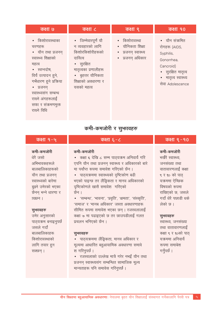| <u>कक्षा ७</u>                                                                                                                                                                                                                               | कक्षा ८                                                                                                                                                               | कक्षा ९                                                                     | <u>क</u> क्षा १०                                                                                                                         |
|----------------------------------------------------------------------------------------------------------------------------------------------------------------------------------------------------------------------------------------------|-----------------------------------------------------------------------------------------------------------------------------------------------------------------------|-----------------------------------------------------------------------------|------------------------------------------------------------------------------------------------------------------------------------------|
| • किशोरावस्थाका<br>चरणहरू<br>• यौन तथा प्रजनन्<br>स्वास्थ्य शिक्षाको<br>महत्व<br>• स्वप्नदोष.<br>विर्य उत्पादन हुने,<br>गर्भधारण हुने प्रक्रिया<br>• प्रजनन<br>स्वास्थ्यसंग सम्बन्ध<br>राख्ने अंगहरूलाई<br>सफा र संक्रमणमुक्त<br>राख्ते तिथि | • जिम्मेवारपूर्ण यौ<br>न व्यवहारको लागि<br>किशोरकिशोरीहरूको<br>दायित्व<br>• सुरक्षित<br>मातृत्वका प्रणालीहरू<br>• बृहत्तर यौनिकता<br>शिक्षाको अवधारणा र<br>यसको महत्व | • किशोरावस्था<br>• यौनिकता शिक्षा<br>• प्रजनन स्वास्थ्य<br>• प्रजनन् अधिकार | • यौन संक्रमित<br>रोगहरू (AIDS,<br>Syphilis,<br>Gonorrhea.<br>Cancroid)<br>• सुरक्षित मातृत्व<br>• मातृत्व स्वास्थ्य<br>सेवा Adolescence |

# कमी-कमजोरी र सुभगवहरु

## कक्षा १-५

कमी-कमजोरी

अभिभावकहरूले

बालबालिकाहरूको

यौन तथा प्रजनन

स्वास्थ्यको बारेमा

बझ्ने उमेरको भएका

छैनन भन्ने धारणा र

पाठयक्रम बनाइनपर्छ

धेरै जस्मो

ाख्छन ।

सुभगवहरु उमेर अनुसारको

जसले गर्दा

बालबालिकाहरू

किशोरावस्थाको

लागि तयार हन

सक्छन् ।

## कक्षा ६-८

### कमी–कमजोरी

• कक्षा ६ देखि ८ सम्म पाठ्यक्रम अनिवार्य गरि एपनि यौन तथा प्रजनन स्वास्थ्य र अधिकारको बारे मा पर्याप्त रूपमा समावेश गरिएको छैन । • पाठयऋममा स्वास्थ्यको दृष्टिकोण बढी

भएको पाइन्छ तर लैंङ्गिकता र मानव अधिकारको दष्टिकोणले खासै समावेश गरिएको छेन ।

• 'सम्बन्ध', 'भावना', 'प्रवृति', 'क्षमता', 'संस्कृति', 'समाज' र 'मानब अधिकार' जस्ता अवधारणाहरू सीमित रूपमा समावेश भएका छन। रजस्वलालाई कक्षा ७ मा पढाइएको छ तर छाउपडीलाई गलत प्रचलन भनिएको छैन ।

### सुभगवहरु

• पाठयऋममा लैंङिकता, मानव अधिकार र मुल्यमा आधारित बहुआयामिक अवधारणा समावे श गरिनुपर्छ ।

• रजस्वलाको उल्लेख मात्रै गरेर नभई यौन तथा प्रजनन स्वास्थ्यसंग सम्बन्धित सामाजिक मूल्य मान्यताहरू पनि समावेस गरिनुपर्छ।

## <u>कक्षा ९ - १०</u>

## कमी-कमजोरी

भर्खरे स्वास्थ्य जनसंख्या तथा वातावारणलाई कक्षा ९ र १० को पाठ यक्रममा ऐच्छिक विषयको रूपमा राखिएको छ, जसले गर्दा धेरै पछाडी धके लेको छ ।

#### सुभगवहरु

स्वास्थ्य, जनसंख्या तथा वातावारणलाई कक्षा ९ र १०को पाठ् यक्रममा अनिवार्य रूपमा समावेश गर्नुपर्छ ।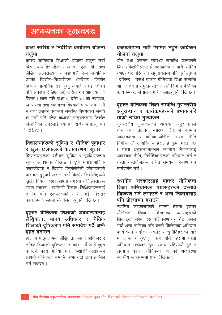# कक्षा स्तरीय र निर्देशित कार्यक्रम योजना तर्जमा

बहत्तर यौनिकता शिक्षाको योजना तजुमा गर्दा विद्यालय बाहिर रहेका, अपांगता भएका, यौन तथा लैंडिक अल्पसंख्यक र बिशेषगरी निम्न माध्यमिक तहका किशोर-किशोरीहरू (कतिपय किशोर ीहरूले माध्यमिक तह पुग्न अगावै पढाई छोडने पनि अवस्था देखिएकाले) लक्षित गर्न आवश्यक दे खिन्छ । त्यसै गरि कक्षा ६ देखि १० को स्वास्थ्य. जनसंख्या तथा वातावरण विषयको पाठयक्रममा यौ न तथा प्रजनन् स्वास्थ्य सम्बन्धि बिषयबस्तू समावे श गर्दा पनि हरेक कक्षाको पाठ्यक्रममा किशोर किशोरीको उमेरलाई ध्यानमा राखेर बनाउन् पने प्टेरिवन्छ ।

## विद्यालयहरुको सुबिधा र भौतिक पूर्वाधार र खुला छलफलको वातावारणमा सुधार

विद्यालयहरूको वर्तमान सुविधा र पूर्वाधारहरूमा सुधार आवश्यक देखिन्छ । छुट्टै मनोसामाजिक .<br>परामर्शदाता र किशोर किशोरीमैत्री कोठाहरूको प्रावधान हनुपर्छ जसले गर्दा किशोर किशोरीहरूले खलेर निर्धक्क भएर आफ्ना समस्या र जिज्ञासाहरू राख्न सक्छन । त्यसैगरी शिक्षक-शिक्षिकाहरूलाई तालिम पनि एकपटकको मात्रै नभई निरन्तर कार्यक्रमको रूपमा संचालित हुनुपर्ने देखिन्छ ।

## बृहत्तर यौनिकता शिक्षाको अबधारणालाई लैंङ्गिकता, मानव अधिकार र नैतिक शिक्षाको दृष्टिकोण पनि समावेश गर्दै अफै बहुत बनाउन

हालको पाठयऋममा लैंङ्किता, मानव अधिकार र नैतिक शिक्षाको दृष्टिकोण समावेश गर्दै अभै बहुत बनाउने कार्य गरियो भने किशोरकिशोरीहरूले आफ्नो यौनिकता सम्बन्धि अफ बढी ज्ञान हासिल गर्न सक्छन ।

# कक्षाकोठामा मात्रै सिमित नहुने कार्यक्रम योजना तजमा

यौन तथा प्रजनन स्वास्थ्य सम्बन्धि जानकारी किशोरकिशोरीहरूलाई कक्षाकोठामा मात्रै सीमित नभएर घर परिवार र समुदायसम्म पनि पर्याउनुपने <u>'देखिन्छ । तसर्थ बृहत्तर यौनिकता शिक्षा सम्बन्धि</u> ज्ञान र चेतना समुदायस्तरमा पनि विभिन्न पैरवीका कार्यक्रमहरू संचालन गरि फैलाउनुपर्ने देखिन्छ ।

# बृहत्तर यौनिकता शिक्षा सम्बन्धि गुणरतरीय अनुसन्धान र कार्यक्रमहरुको प्रभावकारि ताको उचित मुल्यांकन

गणस्तरीय मुल्यांकनको अध्ययन अनुसन्धानले यौन तथा प्रजनन स्वास्थ्य शिक्षाका वर्तमान आवश्यकता र कमिकमजोरीको बारेमा नीति निर्माणकर्ता र अभियान्ताहरूलाई बुझ्न मद्दत गर्छ । यस्ता अनुसन्धानहरूले स्थानीय निकायलाई आवश्यक नीति. निर्देशिकाहरूको पहिचान गर्न र यस्ता दस्तावेजहरू उचित समयमा निर्माण गर्न मार्गदर्शन गर्छ ।

## स्थानीय सरकारलाई बृहत्तर यौनिकता शिक्षा अभियानका प्रयासहरुको दस्तावे जिकरण गर्न लगाउने र अन्य निकायलाई पनि पोत्साहन गराउने

स्थानिय सरकारहरूले आफ्नो क्षेत्रमा बृहत्तर यौनिकता शिक्षा अभियानका प्रयासहरूको सिकाईको बारेमा दस्तावेजिकरण गनुपर्नेछ जसले गर्दा अन्य पालिका पनि यस्तो किसिमको अभियान कार्यन्वयन गर्दाका अवसर र चुनौतिहरूको बारे मा जानकार हुन्छन । सबै पालिकाहरूमा यस्तो अभियान संचालन हँदा स्वस्थ प्रतिस्पर्धा हने र समग्रमा बहत्तर यौनिकता शिक्षाको अवधारणा <u>स्थानीय स्तरसम्ममा पग्ने देखिन्छ ।</u>